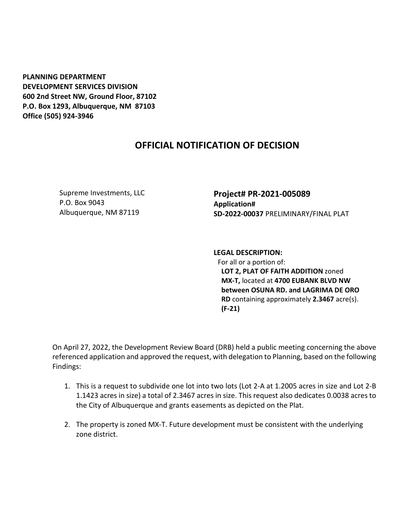**PLANNING DEPARTMENT DEVELOPMENT SERVICES DIVISION 600 2nd Street NW, Ground Floor, 87102 P.O. Box 1293, Albuquerque, NM 87103 Office (505) 924-3946** 

## **OFFICIAL NOTIFICATION OF DECISION**

Supreme Investments, LLC P.O. Box 9043 Albuquerque, NM 87119

**Project# PR-2021-005089 Application# SD-2022-00037** PRELIMINARY/FINAL PLAT

**LEGAL DESCRIPTION:** For all or a portion of: **LOT 2, PLAT OF FAITH ADDITION** zoned **MX-T,** located at **4700 EUBANK BLVD NW between OSUNA RD. and LAGRIMA DE ORO RD** containing approximately **2.3467** acre(s). **(F-21)**

On April 27, 2022, the Development Review Board (DRB) held a public meeting concerning the above referenced application and approved the request, with delegation to Planning, based on the following Findings:

- 1. This is a request to subdivide one lot into two lots (Lot 2-A at 1.2005 acres in size and Lot 2-B 1.1423 acres in size) a total of 2.3467 acres in size. This request also dedicates 0.0038 acres to the City of Albuquerque and grants easements as depicted on the Plat.
- 2. The property is zoned MX-T. Future development must be consistent with the underlying zone district.